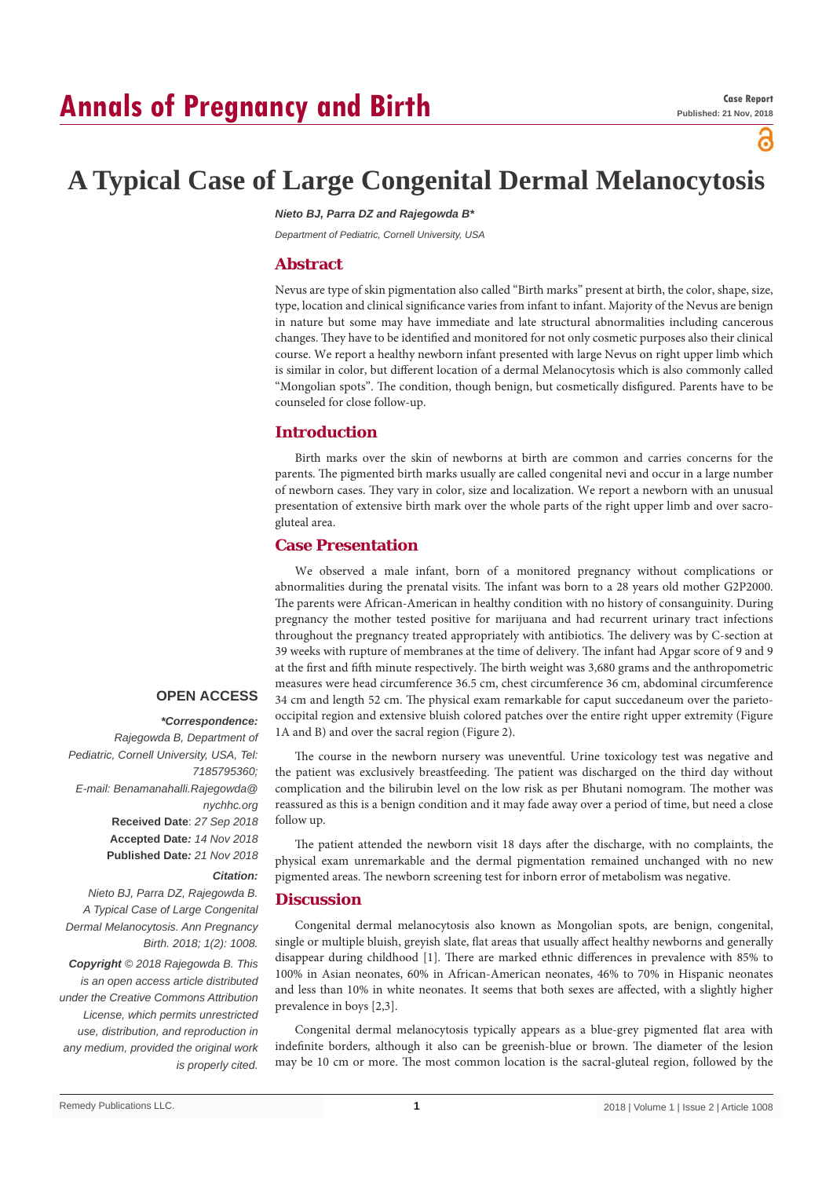# **Annals of Pregnancy and Birth**

്

# **A Typical Case of Large Congenital Dermal Melanocytosis**

#### *Nieto BJ, Parra DZ and Rajegowda B\**

*Department of Pediatric, Cornell University, USA*

#### **Abstract**

Nevus are type of skin pigmentation also called "Birth marks" present at birth, the color, shape, size, type, location and clinical significance varies from infant to infant. Majority of the Nevus are benign in nature but some may have immediate and late structural abnormalities including cancerous changes. They have to be identified and monitored for not only cosmetic purposes also their clinical course. We report a healthy newborn infant presented with large Nevus on right upper limb which is similar in color, but different location of a dermal Melanocytosis which is also commonly called "Mongolian spots". The condition, though benign, but cosmetically disfigured. Parents have to be counseled for close follow-up.

## **Introduction**

Birth marks over the skin of newborns at birth are common and carries concerns for the parents. The pigmented birth marks usually are called congenital nevi and occur in a large number of newborn cases. They vary in color, size and localization. We report a newborn with an unusual presentation of extensive birth mark over the whole parts of the right upper limb and over sacrogluteal area.

#### **Case Presentation**

We observed a male infant, born of a monitored pregnancy without complications or abnormalities during the prenatal visits. The infant was born to a 28 years old mother G2P2000. The parents were African-American in healthy condition with no history of consanguinity. During pregnancy the mother tested positive for marijuana and had recurrent urinary tract infections throughout the pregnancy treated appropriately with antibiotics. The delivery was by C-section at 39 weeks with rupture of membranes at the time of delivery. The infant had Apgar score of 9 and 9 at the first and fifth minute respectively. The birth weight was 3,680 grams and the anthropometric measures were head circumference 36.5 cm, chest circumference 36 cm, abdominal circumference 34 cm and length 52 cm. The physical exam remarkable for caput succedaneum over the parietooccipital region and extensive bluish colored patches over the entire right upper extremity (Figure 1A and B) and over the sacral region (Figure 2).

## **OPEN ACCESS**

#### *\*Correspondence:*

*Rajegowda B, Department of Pediatric, Cornell University, USA, Tel: 7185795360; E-mail: Benamanahalli.Rajegowda@ nychhc.org* **Received Date**: *27 Sep 2018* **Accepted Date***: 14 Nov 2018* **Published Date***: 21 Nov 2018*

# *Citation:*

*Nieto BJ, Parra DZ, Rajegowda B. A Typical Case of Large Congenital Dermal Melanocytosis. Ann Pregnancy Birth. 2018; 1(2): 1008.*

*Copyright © 2018 Rajegowda B. This is an open access article distributed under the Creative Commons Attribution License, which permits unrestricted use, distribution, and reproduction in any medium, provided the original work is properly cited.*

The course in the newborn nursery was uneventful. Urine toxicology test was negative and the patient was exclusively breastfeeding. The patient was discharged on the third day without complication and the bilirubin level on the low risk as per Bhutani nomogram. The mother was reassured as this is a benign condition and it may fade away over a period of time, but need a close follow up.

The patient attended the newborn visit 18 days after the discharge, with no complaints, the physical exam unremarkable and the dermal pigmentation remained unchanged with no new pigmented areas. The newborn screening test for inborn error of metabolism was negative.

#### **Discussion**

Congenital dermal melanocytosis also known as Mongolian spots, are benign, congenital, single or multiple bluish, greyish slate, flat areas that usually affect healthy newborns and generally disappear during childhood [1]. There are marked ethnic differences in prevalence with 85% to 100% in Asian neonates, 60% in African-American neonates, 46% to 70% in Hispanic neonates and less than 10% in white neonates. It seems that both sexes are affected, with a slightly higher prevalence in boys [2,3].

Congenital dermal melanocytosis typically appears as a blue-grey pigmented flat area with indefinite borders, although it also can be greenish-blue or brown. The diameter of the lesion may be 10 cm or more. The most common location is the sacral-gluteal region, followed by the